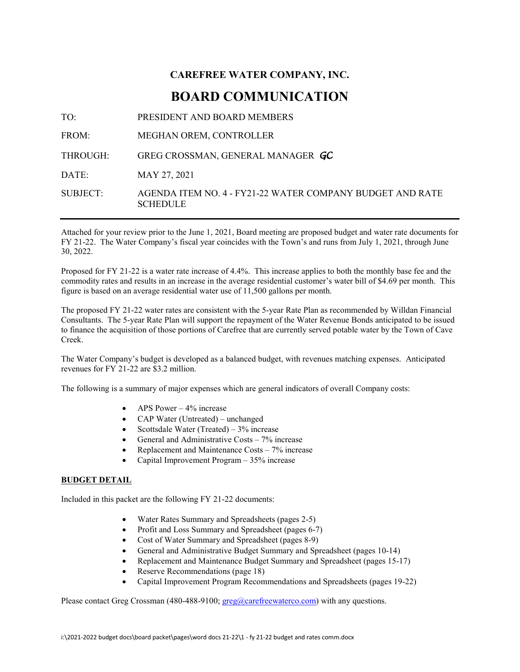### **CAREFREE WATER COMPANY, INC. BOARD COMMUNICATION**

TO: PRESIDENT AND BOARD MEMBERS FROM: MEGHAN OREM, CONTROLLER THROUGH: GREG CROSSMAN, GENERAL MANAGER *GC* DATE: MAY 27, 2021 SUBJECT: AGENDA ITEM NO. 4 - FY21-22 WATER COMPANY BUDGET AND RATE **SCHEDULE** 

Attached for your review prior to the June 1, 2021, Board meeting are proposed budget and water rate documents for FY 21-22. The Water Company's fiscal year coincides with the Town's and runs from July 1, 2021, through June 30, 2022.

Proposed for FY 21-22 is a water rate increase of 4.4%. This increase applies to both the monthly base fee and the commodity rates and results in an increase in the average residential customer's water bill of \$4.69 per month. This figure is based on an average residential water use of 11,500 gallons per month.

The proposed FY 21-22 water rates are consistent with the 5-year Rate Plan as recommended by Willdan Financial Consultants. The 5-year Rate Plan will support the repayment of the Water Revenue Bonds anticipated to be issued to finance the acquisition of those portions of Carefree that are currently served potable water by the Town of Cave Creek.

The Water Company's budget is developed as a balanced budget, with revenues matching expenses. Anticipated revenues for FY 21-22 are \$3.2 million.

The following is a summary of major expenses which are general indicators of overall Company costs:

- APS Power  $-4\%$  increase
- CAP Water (Untreated) unchanged
- Scottsdale Water (Treated)  $3\%$  increase
- General and Administrative Costs 7% increase
- Replacement and Maintenance Costs  $-7\%$  increase
- Capital Improvement Program 35% increase

#### **BUDGET DETAIL**

Included in this packet are the following FY 21-22 documents:

- Water Rates Summary and Spreadsheets (pages 2-5)
- Profit and Loss Summary and Spreadsheet (pages 6-7)
- Cost of Water Summary and Spreadsheet (pages 8-9)
- General and Administrative Budget Summary and Spreadsheet (pages 10-14)
- Replacement and Maintenance Budget Summary and Spreadsheet (pages 15-17)
- Reserve Recommendations (page 18)
- Capital Improvement Program Recommendations and Spreadsheets (pages 19-22)

Please contact Greg Crossman (480-488-9100[; greg@carefreewaterco.com\)](mailto:greg@carefreewaterco.com) with any questions.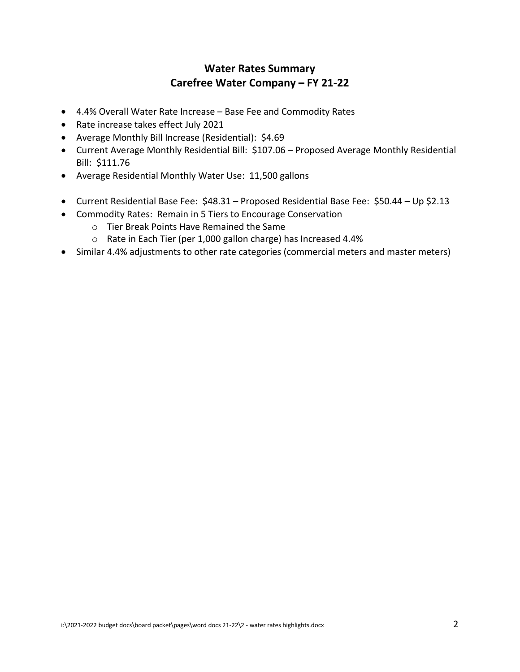#### **Water Rates Summary Carefree Water Company – FY 21-22**

- 4.4% Overall Water Rate Increase Base Fee and Commodity Rates
- Rate increase takes effect July 2021
- Average Monthly Bill Increase (Residential): \$4.69
- Current Average Monthly Residential Bill: \$107.06 Proposed Average Monthly Residential Bill: \$111.76
- Average Residential Monthly Water Use: 11,500 gallons
- Current Residential Base Fee: \$48.31 Proposed Residential Base Fee: \$50.44 Up \$2.13
- Commodity Rates: Remain in 5 Tiers to Encourage Conservation
	- o Tier Break Points Have Remained the Same
	- o Rate in Each Tier (per 1,000 gallon charge) has Increased 4.4%
- Similar 4.4% adjustments to other rate categories (commercial meters and master meters)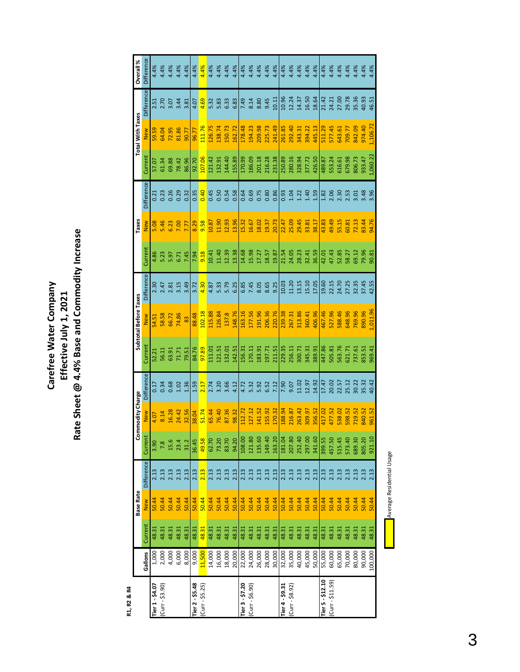# Carefree Water Company<br>Effective July 1, 2021<br>Rate Sheet @ 4.4% Base and Commodity Increase **Rate Sheet @ 4.4% Base and Commodity Increase Carefree Water Company Effective July 1, 2021**

R1, R2 & R4 **R1, R2 & R4**

|                   |         |         | Base Rate  |            | ဒီ      | nmodity Charge |            |         | Subtotal Before Taxes |            |        | Taxes      |            |          | <b>Total With Taxes</b> |                | Overall %         |
|-------------------|---------|---------|------------|------------|---------|----------------|------------|---------|-----------------------|------------|--------|------------|------------|----------|-------------------------|----------------|-------------------|
|                   | Gallons | Current | <b>New</b> | Difference | Current | New            | Difference | Current | <b>New</b>            | Difference | Curren | <b>New</b> | Difference | Current  | <b>New</b>              | Difference     | <b>Difference</b> |
| Tier 1 - \$4.07   | 1,000   | 48.31   | 50.44      | 2.13       | 3.90    | 4.07           | 0.17       | 52.21   | 34.51                 | 2.30       | 4.86   | 5.08       | 0.21       | 57.07    | 59.59                   | 2.51           | 4.4%              |
| $(Curr - $3.90)$  | 2,000   | 48.31   | 50.44      | 2.13       |         | 8.14           | 0.34       | 56.11   | 58.58                 | 2.47       | 5.23   | $-46$      | 0.23       | 51.34    | 54.04                   | 2.70           | 4%                |
|                   | 4,000   | 48.31   | 50.44      |            | 15.6    | 16.28          | 0.68       | 63.91   | 66.72                 | 2.81       | 5.97   | 6.23       | 0.26       | 69.88    | 72.95                   | 3.07           | 4.4%              |
|                   | 6,000   | 48.31   | 50.44      | 2.13       | 23.4    | 24.42          | 1.02       | 71.71   | 74.86                 | 3.15       | 6.71   | 00,7       | 0.29       | 78.42    | 81.86                   | 3.44           | 4.4%              |
|                   | 8,000   | 48.31   | 50.44      | 2.13       | 31.2    | 32.56          | 1.36       | 79.51   | 83                    | 3.49       | 7.45   | 7.77       | 0.32       | 86.96    | 90.77                   | 3.81           | 4.4%              |
| ier 2 - \$5.48    | 9,000   | 48.31   | 50.44      | 2.13       | 36.45   | 38.04          | 1.59       | 84.76   | 88.48                 | 3.72       | 7.94   | 8.29       | 0.35       | 92.70    | 96.77                   | 4.07           | 4.4%              |
| $(Curr - $5.25)$  | 11,500  | 48.31   | 50.44      | 2.13       | 49.58   | 51.74          | 2.17       | 97.89   | 102.18                | 4.30       | 9.18   | 9.58       | 0.40       | 107.06   | 111.76                  | 4.69           | 4.4%              |
|                   | 14,000  | 48.31   | 50.44      | 2.13       | 62.70   | 65.44          | 2.74       | 111.01  | 115.88                | 4.87       | 10.41  | 10.87      | 0.45       | 121.42   | 126.75                  | 5.32           | 4.4%              |
|                   | 16,000  | 48.31   | 50.44      | 2.13       | 73.20   | 76.40          | 3.20       | 121.51  | 126.84                | 5.33       | 11.40  | 11.90      | 0.50       | 132.91   | 138.74                  | 5.83           | 4.4%              |
|                   | 18,000  | 48.31   | 50.44      | 2.13       | 83.70   | 87.36          | 3.66       | 132.01  | 137.8                 | 5.79       | 12.39  | 12.93      | 0.54       | 144.40   | 150.73                  | 6.33           | 4.4%              |
|                   | 20,000  | 48.31   | 50.44      | 2.13       | 94.20   | 98.32          | 4.12       | 142.51  | 148.76                | 6.25       | 13.38  | 13.96      | 0.58       | 155.89   | 162.72                  | 6.83           | 4.4%              |
| Ter 3 - \$7.20    | 22,000  | 48.31   | 50.44      | 2.13       | 108.00  | 112.72         | 4.72       | 156.31  | 163.16                | 6.85       | 14.68  | 15.32      | 0.64       | 170.99   | 178.48                  | 7.49           | 4.4%              |
| $(Curr - $6.90)$  | 24,000  | 48.31   | 50.44      | 2.13       | 121.80  | 127.12         | 5.32       | 170.11  | 177.56                | 7.45       | 15.98  | 16.67      | 0.69       | 186.09   | 194.23                  | 8.14           | 4.4%              |
|                   | 26,000  | 48.31   | 50.44      | 2.13       | 135.60  | 141.52         | 5.92       | 183.91  | 191.96                | 8.05       | 17.27  | 18.02      | 0.75       | 201.18   | 209.98                  | 8.80           | 4.4%              |
|                   | 28,000  | 48.31   | 50.44      | 2.13       | 149.40  | 155.92         | 6.52       | 197.71  | 206.36                | 8.65       | 18.57  | 19.37      | 0.80       | 216.28   | 225.73                  | 9.45           | 4.4%              |
|                   | 30,000  | 48.31   | 50.44      | 2.13       | 163.20  | 170.32         | 7.12       | 211.51  | 220.76                | 9.25       | 19.87  | 20.73      | 0.86       | 231.38   | 241.49                  | 10.11          | 4.4%              |
| Ter 4 - \$9.31    | 32,000  | 48.31   | 50.44      | 2.13       | 181.04  | 188.94         | 7.90       | 229.35  | 239.38                | 10.03      | 21.54  | 22.47      | 0.93       | 250.89   | 261.85                  | 10.96          | 4.4%              |
| $(Curr - $8.92)$  | 35,000  | 48.31   | 50.44      | 2.13       | 207.80  | 216.87         | 9.07       | 256.11  | 267.31                | 11.20      | 24.05  | 25.09      | 1.04       | 280.16   | 292.40                  | 12.24          | 4.4%              |
|                   | 40,000  | 48.31   | 50.44      | 2.13       | 252.40  | 263.42         | 11.02      | 300.71  | 313.86                | 13.15      | 28.23  | 29.45      | 1.22       | 328.94   | 343.31                  | 14.37          | 4.4%              |
|                   | 45,000  | 48.31   | 50.44      | 2.13       | 297.00  | 309.97         | 12.97      | 345.31  | 360.41                | 15.10      | 32.41  | 33.81      | 1.40       | 377.72   | 394.22                  | 16.50          | 4.4%              |
|                   | 50,000  | 48.31   | 50.44      | 2.13       | 341.60  | 356.52         | 14.92      | 389.91  | 406.96                | 17.05      | 36.59  | 38.17      | 1.59       | 426.50   | 445.13                  | 18.64          | 4.4%              |
| Tier 5 - \$12.10  | 55,000  | 48.31   | 50.44      | 2.13       | 399.55  | 117.02         | 17.47      | 447.86  | 467.46                | 19.60      | 42.01  | 43.83      | 1.82       | 489.87   | 511.29                  | 21.42          | 4.4%              |
| $(Curr - $11.59)$ | 60,000  | 48.31   | 50.44      | 2.13       | 457.50  | 477.52         | 20.02      | 505.81  | 527.96                | 22.15      | 47.43  | 49.49      | 2.06       | 553.24   | 577.45                  | 24.21          | 4.4%              |
|                   | 65,000  | 48.31   | 50.44      | 2.13       | 515.45  | 538.02         | 22.57      | 563.76  | 588.46                | 24.70      | 52.85  | 55.15      | 2.30       | 616.61   | 643.61                  | 27.00          | 4.4%              |
|                   | 70,000  | 48.31   | 50.44      | 2.13       | 573.40  | 598.52         | 25.12      | 621.71  | 648.96                | 27.25      | 58.27  | 60.81      | 2.53       | 679.98   | 709.77                  | 29.78          | 4.4%              |
|                   | 80,000  | 48.31   | 50.44      | 2.13       | 689.30  | 719.52         | 30.22      | 737.61  | 769.96                | 32.35      | 69.12  | 72.13      | 3.01       | 806.73   | 842.09                  | 35.36<br>40.93 | 4.4%              |
|                   | 90,000  | 48.31   | 50.44      | 2.13       | 805.20  | 840.52         | 35.32      | 853.51  | 890.96                | 37.45      | 79.96  | 83.44      | 3.48       | 933.47   | 974.40                  |                | 4.4%              |
|                   | 100,000 | 48.31   | 50.44      | 2.13       | 921.10  | 961.52         | 40.42      | 969.41  | ,011.96               | 42.55      | 90.81  | 94.76      | 3.96       | 1,060.22 | 1,106.72                | 46.51          | 4.4%              |

Average Residential Usage Average Residential Usage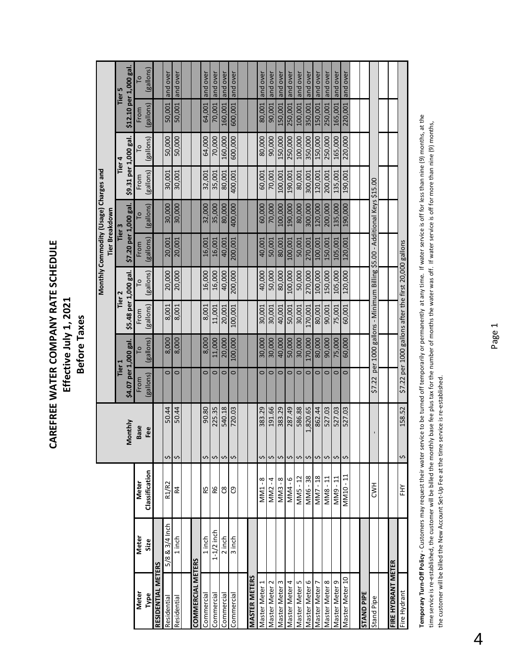## CAREFREE WATER COMPANY RATE SCHEDULE **CAREFREE WATER COMPANY RATE SCHEDULE** Effective July 1, 2021 **Effective July 1, 2021** Before Taxes **Before Taxes**

|                      |                |                         |                              |                       |                                                                     |                       |           | Monthly Commodity (Usage) Charges and |           |                       |           |           |                        |
|----------------------|----------------|-------------------------|------------------------------|-----------------------|---------------------------------------------------------------------|-----------------------|-----------|---------------------------------------|-----------|-----------------------|-----------|-----------|------------------------|
|                      |                |                         |                              |                       |                                                                     |                       |           | Tier Breakdown                        |           |                       |           |           |                        |
|                      |                |                         |                              | <b>Tier 1</b>         |                                                                     | Tier <sub>2</sub>     |           | Tier 3                                |           | Tier 4                |           |           | Tier 5                 |
|                      |                |                         | <b>lonthly</b><br>2          | \$4.07 per 1,000 gal. |                                                                     | \$5.48 per 1,000 gal. |           | \$7.20 per 1,000 gal                  |           | \$9.31 per 1,000 gal. |           |           | \$12.10 per 1,000 gal. |
| Meter                | Meter          | Meter                   | <b>Base</b>                  | From                  |                                                                     | From                  | P         | From                                  |           | From                  |           | From      |                        |
| Type                 | Size           | Classification          | Fee                          | (gallons)             | (gallons)                                                           | (gallons)             | (gallons) | (gallons)                             | (gallons) | (gallons)             | (gallons) | (gallons) | (gallons)              |
| RESIDENTIAL METERS   |                |                         |                              |                       |                                                                     |                       |           |                                       |           |                       |           |           |                        |
| Residential          | 5/8 & 3/4 Inch | R1/R2                   | 50.44<br>\$                  | $\circ$               | 8,000                                                               | 8,001                 | 20,000    | 20,001                                | 30,000    | 30,001                | 50,000    | 50,001    | and over               |
| Residential          | 1 inch         | R4                      | 50.44<br>Ş                   | $\circ$               | 8,000                                                               | 8,001                 | 20,000    | 20,001                                | 30,000    | 30,001                | 50,000    | 50,001    | and over               |
|                      |                |                         |                              |                       |                                                                     |                       |           |                                       |           |                       |           |           |                        |
| COMMERCIAL METERS    |                |                         |                              |                       |                                                                     |                       |           |                                       |           |                       |           |           |                        |
| Commercial           | 1 inch         | R5                      | 90.80<br>\$                  | $\circ$               | 8,000                                                               | 8,001                 | 16,000    | 16,001                                | 32,000    | 32,001                | 64,000    | 64,001    | and over               |
| Commercial           | $1-1/2$ inch   | 98                      | 225.35<br>\$                 | $\circ$               | 11,000                                                              | 11,001                | 16,000    | 16,001                                | 35,000    | 35,001                | 70,000    | 70,001    | and over               |
| Commercial           | 2 inch         | ප                       | 540.18<br>Ş                  | $\circ$               | 20,000                                                              | 20,001                | 40,000    | 40,001                                | 80,000    | 80,001                | 160,000   | 160,001   | and over               |
| Commercial           | 3 inch         | ෆු                      | 720.03<br>Ş                  | $\circ$               | 100,000                                                             | 100,001               | 200,000   | 200,001                               | 400,000   | 400,001               | 600,000   | 600,001   | and over               |
|                      |                |                         |                              |                       |                                                                     |                       |           |                                       |           |                       |           |           |                        |
| <b>MASTER METERS</b> |                |                         |                              |                       |                                                                     |                       |           |                                       |           |                       |           |           |                        |
| Master Meter 1       |                | MM1-8                   | 383.29<br>Ş                  | $\circ$               | 30,000                                                              | 30,001                | 40,000    | 40,001                                | 60,000    | 60,001                | 80,000    | 80,001    | and over               |
| Master Meter         |                | $-4$<br>MM <sub>2</sub> | 191.66<br>\$                 | $\circ$               | 30,000                                                              | 30,001                | 50,000    | 50,001                                | 70,000    | 70,001                | 90,000    | 90,001    | and over               |
| Master Meter 3       |                | $MMS - 8$               | 383.29<br>\$                 | $\circ$               | 40,000                                                              | 40,001                | 80,000    | 80,001                                | 100,000   | 100,001               | 150,000   | 150,001   | and over               |
| Master Meter 4       |                | MM4-6                   | 287.49<br>\$                 | $\circ$               | 50,000                                                              | 50,001                | 100,000   | 100,001                               | 190,000   | 190,001               | 250,000   | 250,001   | and over               |
| Master Meter 5       |                | MM5-12                  | 586.88<br>Ş                  | $\circ$               | 30,000                                                              | 30,001                | 50,000    | 50,001                                | 80,000    | 80,001                | 100,000   | 100,001   | and over               |
| Master Meter 6       |                | MM6-38                  | 1,820.65<br>Ş                | $\circ$               | 170,000                                                             | 170,001               | 270,000   | 270,001                               | 300,000   | 300,001               | 350,000   | 350,001   | and over               |
| Master Meter 7       |                | MM7-18                  | 862.44<br>$\hat{\mathbf{c}}$ | $\circ$               | 80,000                                                              | 80,001                | 100,000   | 100,001                               | 120,000   | 120,001               | 150,000   | 150,001   | and over               |
| Master Meter 8       |                | MM8-11                  | 527.03<br>\$                 | $\circ$               | 90,000                                                              | 90,001                | 150,000   | 150,001                               | 200,000   | 200,001               | 250,000   | 250,001   | and over               |
| Master Meter 9       |                | MM9-11                  | 527.03<br>\$                 | $\circ$               | 75,000                                                              | 75,001                | 105,000   | 105,001                               | 135,000   | 135,001               | 165,000   | 165,001   | and over               |
| Master Meter 10      |                | ii.<br><b>MM10</b>      | 527.03<br>Ş                  | $\circ$               | 60,000                                                              | 60,001                | 120,000   | 120,001                               | 190,000   | 190,001               | 220,000   | 220,001   | and over               |
|                      |                |                         |                              |                       |                                                                     |                       |           |                                       |           |                       |           |           |                        |
| <b>STAND PIPE</b>    |                |                         |                              |                       |                                                                     |                       |           |                                       |           |                       |           |           |                        |
| Stand Pipe           |                | <b>HYQ</b>              |                              | \$7.22                | per 1000 gallons - Minimum Billing \$5.00 - Additional Keys \$15.00 |                       |           |                                       |           |                       |           |           |                        |
|                      |                |                         |                              |                       |                                                                     |                       |           |                                       |           |                       |           |           |                        |
| FIRE HYDRANT METER   |                |                         |                              |                       |                                                                     |                       |           |                                       |           |                       |           |           |                        |
| Fire Hydrant         |                | ΞŘ                      | 158.52<br>Ş                  |                       | \$7.22 per 1000 gallons after the first 20,000 gallons              |                       |           |                                       |           |                       |           |           |                        |

Temporary Turn-Off Policy - Customers may request their water service to be turned off temporarily or permanently at any time. If water service is off for less than nine (9) months, at the **Temporary Turn-Off Policy – Customers may request their water service to be turned off temporarily or permanently at any time. If water service is off for less than nine (9) months, at the** time service is re-established, the customer will be billed the monthly base fee plus tax for the number of months the water was off. If water service is off for more than nine (9) months, time service is re‐established, the customer will be billed the monthly base fee plus tax for the number of months the water was off. If water service is off for more than nine (9) months, the customer will be billed the New Account Set-Up Fee at the time service is re-established. the customer will be billed the New Account Set‐Up Fee at the time service is re‐established.

4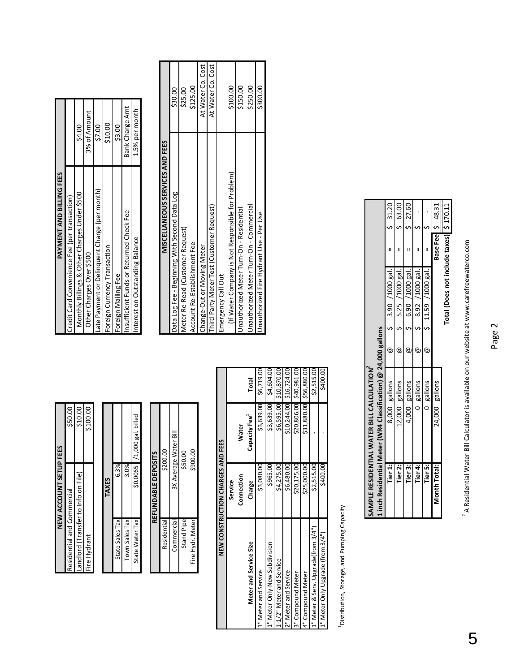| NEW ACCOUNT SETUP FEES             |          |
|------------------------------------|----------|
| Residential and Commercial         | \$50.00  |
| andlord (Transfer to Info on File) | \$10.00  |
| Fire Hydrant                       | \$100.00 |
|                                    |          |

|   |                 |                | $/1,000$ gal. billed |  |
|---|-----------------|----------------|----------------------|--|
| i | 6.3%            | 3.0%           | \$0.0065             |  |
|   | State Sales Tax | Town Sales Tax | State Water Tax      |  |

| REFUNDABLE DEPOSITS | \$200.00    | 3X Average Water Bill | \$50.00    | \$900.00         |
|---------------------|-------------|-----------------------|------------|------------------|
|                     | Residential | Commercia             | Stand Pipe | Fire Hydr. Meter |

|                                     | NEW CONSTRUCTION CHARGES | AND FEES                  |                           | Emergency Call Out                                |          |
|-------------------------------------|--------------------------|---------------------------|---------------------------|---------------------------------------------------|----------|
|                                     | Service                  |                           |                           | (If Water Company is Not Responsible for Problem) | \$100.00 |
|                                     | Connection               | <b>Water</b>              |                           | Inauthorized Meter Turn-On - Residential          | \$150.00 |
| Meter and Service Size              | Charge                   | Capacity Fee <sup>-</sup> | Total                     | Jnauthorized Meter Turn-On - Commercial           | \$250.00 |
| L" Meter and Service                | \$3,080.0                | \$3,639.00                | \$6,719.00                | Inauthorized Fire Hydrant Use - Per Use           | \$300.00 |
| " Meter Only-New Subdivision        | \$965.0                  | \$3,639.00                | \$4,604.00                |                                                   |          |
| 1-1/2" Meter and Service            | \$4,275.00               |                           | \$6,595.00 \$10,870.00    |                                                   |          |
| 2" Meter and Service                | \$6,480.00               |                           | $$10,244.00$ $$16,724.00$ |                                                   |          |
| 3" Compound Meter                   | \$20,175.0               |                           | \$20,806.00 \$40,981.00   |                                                   |          |
| 4" Compound Meter                   | \$25,000.0               |                           | \$31,880.00 \$56,880.00   |                                                   |          |
| L" Meter & Serv. Upgrade(from 3/4") | \$2,515.0                |                           | \$2,515.00                |                                                   |          |
| ." Meter Only Upgrade (from 3/4")   | \$400.0                  |                           | \$400.00                  |                                                   |          |
|                                     |                          |                           |                           |                                                   |          |

| í                      |
|------------------------|
| ֪֞֘֝֝֝֝֝ <b>֧</b><br>j |
| י<br>ה                 |
| I<br>$C+0.5572$        |
|                        |

| <b>NEW ACCOUNT SETI</b>            | <b>IPFEES</b>                    | PAYMENT AND BILLING FEES                      |                 |
|------------------------------------|----------------------------------|-----------------------------------------------|-----------------|
| esidential and Commercial          | \$50.00                          | Credit Card Convenience Fee (per transaction) |                 |
| andlord (Transfer to Info on File) | \$10.00                          | Monthly Billings & Other Charges Under \$500  | \$4.00          |
| ire Hydrant                        | \$100.00                         | Other Charges Over \$500                      | 3% of Amount    |
|                                    |                                  | ate Payment or Delinquent Charge (per month)  | \$7.00          |
| <b>TAXES</b>                       |                                  | oreign Currency Transaction                   | \$10.00         |
| State Sales Tax                    | 6.39                             | oreign Mailing Fee                            | \$3.00          |
| Town Sales Tax                     |                                  | nsufficient Funds or Returned Check Fee       | Bank Charge Amt |
| State Water Tax                    | $/1,000$ gal. billed<br>\$0.0065 | nterest on Outstanding Balance                | 1.5% per month  |

|                                         | Residential                   |                                   | \$200.00                   |            | MISCELLANEOUS SERVICES AND FEES                   |                   |
|-----------------------------------------|-------------------------------|-----------------------------------|----------------------------|------------|---------------------------------------------------|-------------------|
|                                         | Commercial                    |                                   | 3X Average Water Bi        |            | Data Log Fee - Beginning With Second Data Log     | \$30.00           |
|                                         | Stand Pipe                    |                                   | \$50.00                    |            | Meter Re-Read (Customer Request)                  | \$25.00           |
|                                         | Fire Hydr. Meter              |                                   | \$900.00                   |            | Account Re-Establishment Fee                      | \$125.00          |
|                                         |                               |                                   |                            |            | Change-Out or Moving Meter                        | At Water Co. Cost |
|                                         |                               |                                   |                            |            | hird Party Meter Test (Customer Request)          | At Water Co. Cost |
|                                         |                               | NEW CONSTRUCTION CHARGES AND FEES |                            |            | Emergency Call Out                                |                   |
|                                         |                               | Service                           |                            |            | (If Water Company is Not Responsible for Problem) | \$100.00          |
|                                         |                               | Connection                        | Water                      |            | Inauthorized Meter Turn-On - Residential          | \$150.00          |
|                                         | <b>Neter and Service Size</b> | Charge                            | Capacity Fee <sup>-1</sup> | Total      | Inauthorized Meter Turn-On - Commercial           | \$250.00          |
| and Service                             |                               | \$3,080.00                        | \$3,639.00                 | \$6,719.00 | Jnauthorized Fire Hydrant Use - Per Use           | \$300.00          |
| Contract and contract and all the state |                               | くへんしん                             |                            |            |                                                   |                   |

| 63.00<br>27.60<br>31.20<br>48.31<br>Total (Does not include taxes) \$ 170.11<br>Base Feel 9<br>6.90 /1000 gal.<br>3.90 /1000 gal.<br>5.25 /1000 gal.<br>8.92 /1000 gal.<br>$$11.59$ $/1000$ gal.<br>1 inch Residential Meter (WR4 Classification) @ 24,000 gallons<br>SAMPLE RESIDENTIAL WATER BILL CALCULATION<br>8,000 gallons<br>4,000 gallons<br>0 gallons<br>24,000 gallons<br>12,000 gallons<br>0 gallons<br>Tier 1:<br>Tier 2:<br>Tier 4:<br>Tier 5:<br>Tier 3:<br>Month Total |  |  |  |  |  |
|---------------------------------------------------------------------------------------------------------------------------------------------------------------------------------------------------------------------------------------------------------------------------------------------------------------------------------------------------------------------------------------------------------------------------------------------------------------------------------------|--|--|--|--|--|
|                                                                                                                                                                                                                                                                                                                                                                                                                                                                                       |  |  |  |  |  |
|                                                                                                                                                                                                                                                                                                                                                                                                                                                                                       |  |  |  |  |  |
|                                                                                                                                                                                                                                                                                                                                                                                                                                                                                       |  |  |  |  |  |
|                                                                                                                                                                                                                                                                                                                                                                                                                                                                                       |  |  |  |  |  |
|                                                                                                                                                                                                                                                                                                                                                                                                                                                                                       |  |  |  |  |  |
|                                                                                                                                                                                                                                                                                                                                                                                                                                                                                       |  |  |  |  |  |
|                                                                                                                                                                                                                                                                                                                                                                                                                                                                                       |  |  |  |  |  |
|                                                                                                                                                                                                                                                                                                                                                                                                                                                                                       |  |  |  |  |  |

<sup>2</sup> A Residential Water Bill Calculator is available on our website at www.carefreewaterco.com A Residential Water Bill Calculator is available on our website at www.carefreewaterco.com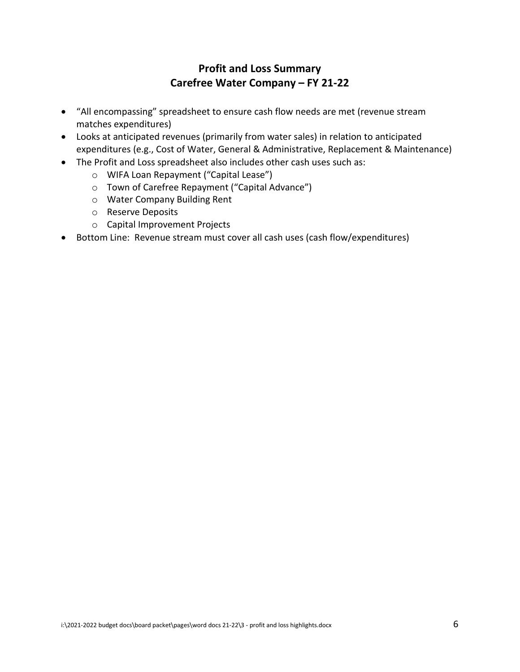#### **Profit and Loss Summary Carefree Water Company – FY 21-22**

- "All encompassing" spreadsheet to ensure cash flow needs are met (revenue stream matches expenditures)
- Looks at anticipated revenues (primarily from water sales) in relation to anticipated expenditures (e.g., Cost of Water, General & Administrative, Replacement & Maintenance)
- The Profit and Loss spreadsheet also includes other cash uses such as:
	- o WIFA Loan Repayment ("Capital Lease")
	- o Town of Carefree Repayment ("Capital Advance")
	- o Water Company Building Rent
	- o Reserve Deposits
	- o Capital Improvement Projects
- Bottom Line: Revenue stream must cover all cash uses (cash flow/expenditures)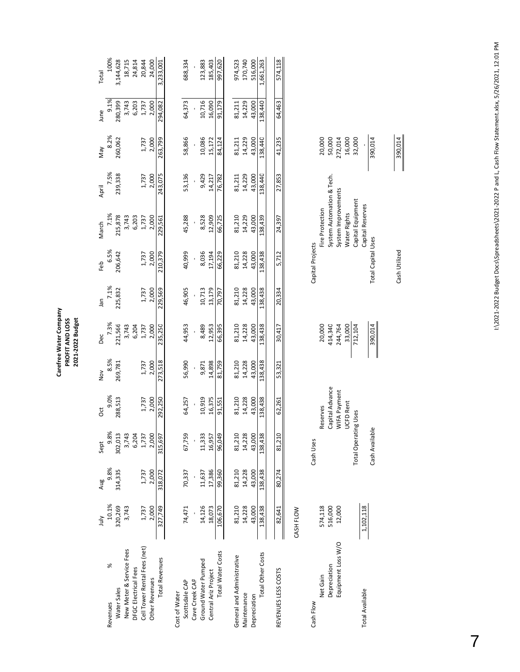|                                    | $\frac{1}{2}$     | Aug     | Sept                        | ä                               | Nov            | Dec                | Jan     | Feb                       | March                                            | April   | VeW               | June    | Total     |
|------------------------------------|-------------------|---------|-----------------------------|---------------------------------|----------------|--------------------|---------|---------------------------|--------------------------------------------------|---------|-------------------|---------|-----------|
| ℅<br>Revenues                      | 10.1%             | 9.8%    | 9.8%                        | 9.0%                            | 8.5%           | 7.3%               | 7.1%    | 6.5%                      | 7.1%                                             | 7.5%    | 8.2%              | 9.1%    | 100%      |
| Water Sales                        | 320,269           | 314,335 | 302,013                     | 288,513                         | 269,781        | 221,566            | 225,832 | 206,642                   | 215,878                                          | 239,338 | 260,062           | 280,399 | 3,144,628 |
| New Meter & Service Fees           | 3,743             |         | 3,743                       |                                 |                | 3,743              |         |                           | 3,743                                            |         |                   | 3,743   | 18,715    |
| DFGC Electrical Fees               |                   |         | 6,204                       |                                 |                | 6,204              |         |                           | 6,203                                            |         |                   | 6,203   | 24,814    |
| Cell Tower Rental Fees (net)       | 1,737             | 1,737   | 1,737                       | 1,737                           |                | 1,737              | 1,737   | 1,737<br>2,000            | 1,737                                            | 1,737   | 1,737             | 1,737   | 20,844    |
| <b>Other Revenues</b>              | 2,000             | 2,000   | 2,000                       | 2,000                           | 1,737<br>2,000 | 2,000              | 2,000   |                           | 2,000                                            | 2,000   | 2,000             | 2,000   | 24,000    |
| <b>Total Revenues</b>              | 327,749           | 318,072 | 315,697                     | 292,250                         | 273,518        | 235,250            | 229,569 | 210,379                   | 229,561                                          | 243,075 | 263,799           | 294,082 | 3,233,001 |
| Cost of Water                      |                   |         |                             |                                 |                |                    |         |                           |                                                  |         |                   |         |           |
| Scottsdale CAP                     | 74,471            | 70,337  | 67,759                      | 64,257                          | 56,990         | 44,953             | 46,905  | 40,999                    | 45,288                                           | 53,136  | 58,866            | 64,373  | 688,334   |
| Cave Creek CAP                     |                   |         |                             |                                 |                |                    |         |                           |                                                  |         |                   |         |           |
| Ground Water Pumped                | 14,126            | 11,637  | 11,333                      | 10,919                          | 9,871          | 8,489              | 10,713  | 8,036                     | 8,528                                            | 9,429   | 10,086            | 10,716  | 123,883   |
| Central Ariz Project               | 18,073            | 17,386  | 16,957                      | 16,375                          | 14,898         | 12,953             | 13,179  | 17,194                    | 12,909                                           | 14,217  | 15,172            | 16,090  | 185,403   |
| <b>Total Water Costs</b>           | 106,670           | 99,360  | 96,049                      | 91,551                          | 81,759         | 66,395             | 70,797  | 66,229                    | 66,725                                           | 76,782  | 84,124            | 91,179  | 997,620   |
| General and Administrative         | 81,210            | 81,210  | 81,210                      | 81,210                          | 81,210         | 81,210             | 81,210  | 81,210                    | 81,210                                           | 81,211  | 81,211            | 81,211  | 974,523   |
| Maintenance                        | 14,228            | 14,228  | 14,228                      | 14,228                          | 14,228         | 14,228             | 14,228  | 14,228                    | 14,229                                           | 14,229  | 14,229            | 14,229  | 170,740   |
| Depreciation                       | 43,000            | 43,000  | 43,000                      | 43,000                          | 43,000         | 43,000             | 43,000  | 43,000                    | 43,000                                           | 43,000  | 43,000            | 43,000  | 516,000   |
| <b>Total Other Costs</b>           | 138,438           | 138,438 | 138,438                     | 138,438                         | 138,438        | 138,438            | 138,438 | 138,438                   | 138,439                                          | 138,440 | 138,440           | 138,440 | 1,661,263 |
|                                    |                   |         |                             |                                 |                |                    |         |                           |                                                  |         |                   |         |           |
| REVENUES LESS COSTS                | 82,641            | 80,274  | 81,210                      | 62,261                          | 53,321         | 30,417             | 20,334  | 5,712                     | 24,397                                           | 27,853  | 41,235            | 64,463  | 574,118   |
|                                    | CASH FLOW         |         |                             |                                 |                |                    |         |                           |                                                  |         |                   |         |           |
| Cash Flow                          |                   |         | Cash Uses                   |                                 |                |                    |         | Capital Projects          |                                                  |         |                   |         |           |
| Net Gain                           | 574,118           |         |                             | Reserves                        |                | 20,000             |         |                           | Fire Protection                                  |         | 20,000            |         |           |
| Equipment Loss W/O<br>Depreciation | 516,000<br>12,000 |         |                             | Capital Advance<br>WIFA Payment |                | 414,340<br>244,764 |         |                           | System Automation & Tech.<br>System Improvements |         | 272,014<br>50,000 |         |           |
|                                    |                   |         | <b>Total Operating Uses</b> | <b>UCFD Rent</b>                |                | 33,000<br>712,104  |         |                           | Capital Equipment<br>Water Rights                |         | 32,000<br>16,000  |         |           |
| <b>Total Available</b>             | 1,102,118         |         |                             |                                 |                |                    |         |                           | Capital Reserves                                 |         |                   |         |           |
|                                    |                   |         | Cash Available              |                                 |                | 390,014            |         | <b>Total Capital Uses</b> |                                                  |         | 390,014           |         |           |
|                                    |                   |         |                             |                                 |                |                    |         |                           |                                                  |         |                   |         |           |
|                                    |                   |         |                             |                                 |                |                    |         | Cash Utilized             |                                                  |         | 390,014           |         |           |

Carefree Water Company<br>PROFIT AND LOSS<br>2021-2022 Budget **Carefree Water Company PROFIT AND LOSS 2021‐2022 Budget**

I:\2021-2022 Budget Docs\Spreadsheets\2021-2022 P and L, Cash Flow Statement.xlsx, 5/26/2021, 12:01 PM I:\2021‐2022 Budget Docs\Spreadsheets\2021‐2022 P and L, Cash Flow Statement.xlsx, 5/26/2021, 12:01 PM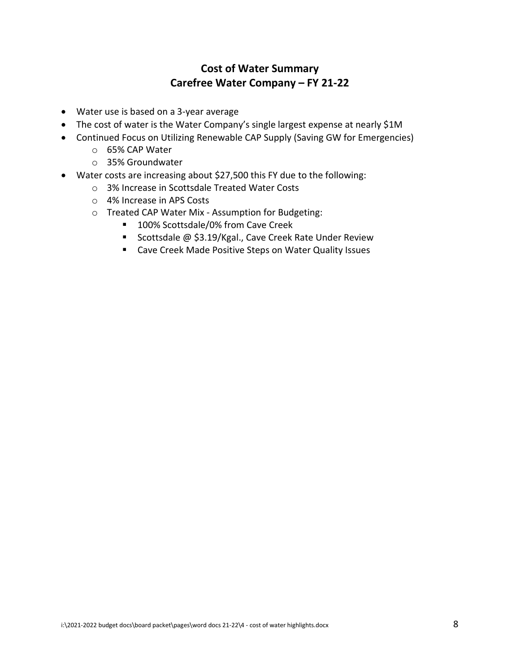#### **Cost of Water Summary Carefree Water Company – FY 21-22**

- Water use is based on a 3-year average
- The cost of water is the Water Company's single largest expense at nearly \$1M
- Continued Focus on Utilizing Renewable CAP Supply (Saving GW for Emergencies)
	- o 65% CAP Water
	- o 35% Groundwater
- Water costs are increasing about \$27,500 this FY due to the following:
	- o 3% Increase in Scottsdale Treated Water Costs
	- o 4% Increase in APS Costs
	- o Treated CAP Water Mix Assumption for Budgeting:
		- 100% Scottsdale/0% from Cave Creek
		- Scottsdale @ \$3.19/Kgal., Cave Creek Rate Under Review
		- Cave Creek Made Positive Steps on Water Quality Issues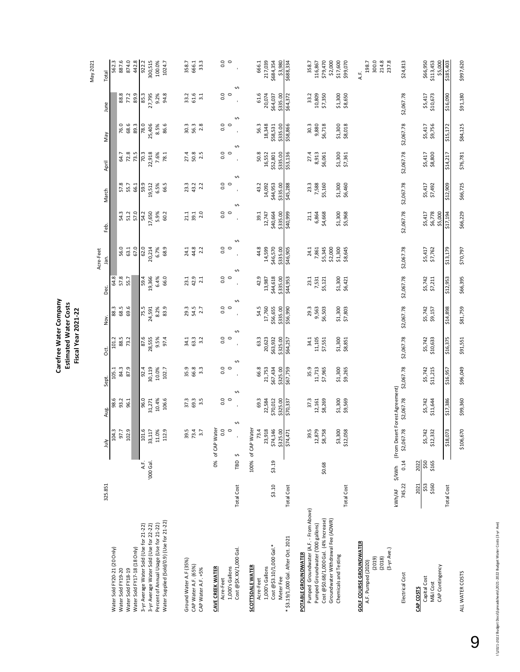|                                                               |                   |              |                                       |                     |                     |                     |                    |                    | Acre-Feet                     |                    |                    |                    |                    |                     | May 2021       |
|---------------------------------------------------------------|-------------------|--------------|---------------------------------------|---------------------|---------------------|---------------------|--------------------|--------------------|-------------------------------|--------------------|--------------------|--------------------|--------------------|---------------------|----------------|
|                                                               | 325.851           |              | July                                  | Aug.                | Sept.               | ğ                   | Nov.               | Dec.               | jan.                          | Feb.               | March              | April              | Vay                | June                | Total          |
| Water Sold FY20-21 (20 Only)<br>Water Sold FY19-20            |                   |              | 104.3<br>97.7                         | 98.6<br>93.2        | 105.1               | 101.2               | 88.3               | 64.8               |                               |                    |                    |                    |                    |                     | 562.3          |
| Water Sold FY18-19                                            |                   |              | 102.9                                 | 96.1                | 84.3<br>87.9        | 88.5<br>73.2        | 68.5<br>69.6       | 57.8<br>55.7       | 56.0<br>63.1                  | 54.3<br>51.2       | 57.8<br>55.7       | 64.7<br>72.8       | 76.6<br>68.6       | 88.8<br>77.2        | 874.0<br>887.6 |
| Water Sold FY17-18 (18 Only)                                  |                   |              |                                       |                     |                     |                     |                    |                    | 67.0                          | 57.0               | 66.1               | 73.5               | 89.3               | 89.9                | 442.8          |
| 3-yr Average Water Sold (Use for 21-22)                       |                   | АF.          | 101.6                                 | 96.0                | 92.4                | 87.6                | 75.5               | 59.4               | 62.0                          | 54.2               | 59.9               | 70.3               | 78.0               | 85.3                | 922.2          |
| 3-yr Average Water Sold (Use for 22-22)                       |                   | '000 Gal.    | 33,117                                | 31,271              | 30,119              | 28,555              | 24,591             | 19,366             | 20,214                        | 17,650             | 19,512             | 22,918             | 25,406             | 27,795              | 300,515        |
| Percent of Annual Usage (Use for 21-22)                       |                   |              | 11.0%                                 |                     |                     | 9.5%                | 8.2%               | 6.4%               | 6.7%                          | 5.9%               | 6.5%               | 7.6%               | 8.5%               | 9.2%                | 100.0%         |
| Water Supplied (Sold/0.9) (Use for 21-22)                     |                   |              | 112.9                                 | 10.4%<br>106.6      | $10.0\%$<br>$102.7$ | 97.4                | 83.9               | 66.0               | 68.9                          | 60.2               | 66.5               | 78.1               | 86.6               | 94.8                | 1024.7         |
|                                                               |                   |              |                                       |                     |                     |                     |                    |                    |                               |                    |                    |                    |                    |                     |                |
| Ground Water A.F (35%)                                        |                   |              | 39.5                                  | 37.3                | 35.9                | 34.1                | 29.3               | 23.1               | 24.1                          | 21.1               | 23.3               | 27.4               | 30.3               | 33.2                | 358.7          |
| CAP Water A.F. (65%)                                          |                   |              | 73.4                                  | 69.3                | 66.8                | 63.3                | 54.5               | 42.9               | 44.8                          | 39.1               | 43.2               | 50.8               | 56.3               | 61.6                | 666.1          |
| CAP Water A.F. +5%                                            |                   |              | 3.7                                   | 3.5                 | $3.\overline{3}$    | 3.2                 | 2.7                | 2.1                | 2.2                           | 2.0                | 2.2                | 2.5                | 2.8                | 3.1                 | 33.3           |
| <b>CAVE CREEK WATER</b>                                       |                   |              | 0% of CAP Water                       |                     |                     |                     |                    |                    |                               |                    |                    |                    |                    |                     |                |
| Acre-Feet                                                     |                   |              | 0.0                                   | 0.0                 | 0.0                 | 0.0                 | $\frac{0}{0}$      | $\frac{0}{0}$      | $\frac{0}{5}$ o               | $\frac{0}{10}$     | 0.0                | 0.0                | $\frac{0}{0}$      | $\frac{0}{0}$       | 0.0            |
| Cost @\$X.XX/1,000 Gal.<br>1,000's Gallons                    | <b>Total Cost</b> | ¢<br>ГBD     | ¢<br>$\circ$                          | $\circ$             | $\circ$             | $\circ$<br>∽        |                    |                    |                               |                    | $\circ$            | $\circ$<br>Ş       | S                  | Ş                   | $\circ$        |
| <b>SCOTTSDALE WATER</b>                                       |                   |              | 100% of CAP Water                     |                     |                     |                     |                    |                    |                               |                    |                    |                    |                    |                     |                |
| Acre-Feet                                                     |                   |              | 73.4                                  | 69.3                | 66.8                | 63.3                | 54.5               | 42.9               | 44.8                          | 39.1               | 43.2               | 50.8               | 56.3               | 61.6                | 666.1          |
| 1,000's Gallons                                               |                   |              | 23,918                                | 22,584              | 21,753              | 20,623              | 17,760             | 13,987             | 14,599                        | 12,747             | 14,092             | 16,552             | 18,348             | 20,074              | 217,039        |
| Cost @\$3.10/1,000 Gal.*                                      | \$3.10            | \$3.19       | \$74,146                              | \$70,012            | \$67,434            | \$63,932            | \$56,655           | \$44,618           | \$46,570                      | \$40,664           | \$44,953           | \$52,801           | \$58,531           | \$64,037            | \$684,354      |
| Meter Fee                                                     |                   |              | \$325.00<br>\$74,471                  | \$325.00            | \$325.00            | \$325.00            | \$335.00           | \$335.00           | \$335.00                      | \$335.00           | \$335.00           | \$335.00           | \$335.00           | \$335.00            | \$3,980        |
| * \$3.19/1,000 Gal. After Oct. 2021                           | <b>Total Cost</b> |              |                                       | \$70,337            | \$67,759            | \$64,257            | \$56,990           | \$44,953           | \$46,905                      | \$40,999           | \$45,288           | \$53,136           | \$58,866           | \$64,372            | \$688,334      |
| Pumped Groundwater (A.F. - From Above)<br>POTABLE GROUNDWATER |                   |              | 39.5                                  | 37.3                | 35.9                | 34.1                | 29.3               | 23.1               | 24.1                          | 21.1               | 23.3               | 27.4               | 30.3               | 33.2                | 358.7          |
| Pumped Groundwater ('000 gallons)                             |                   |              | .,879                                 |                     | 11,713              |                     |                    |                    | 7,861                         | 6,864              | 7,588              | 8,913              |                    |                     | 116,867        |
| Cost @\$0.68/1,000 Gal. (4% Increase)                         |                   | \$0.68       | 12,879<br>\$8,758                     | 12,161<br>\$8,269   |                     | 11,105<br>\$7,551   | 9,563<br>\$6,503   | 7,531<br>\$5,121   |                               | \$4,668            | \$5,160            | \$6,061            | 9,880<br>\$6,718   | 10,809<br>\$7,350   | \$79,470       |
| Groundwater Withdrawal Fee (ADWR)                             |                   |              |                                       |                     | \$7,965             |                     |                    |                    | \$5,345                       |                    |                    |                    |                    |                     | \$2,000        |
| Chemicals and Testing                                         |                   |              |                                       |                     |                     |                     |                    |                    | \$2,000<br>\$1,300<br>\$8,645 |                    |                    |                    |                    |                     | \$17,600       |
|                                                               | <b>Total Cost</b> |              | \$3,300<br>\$12,058                   | \$1,300<br>\$9,569  | \$1,300<br>\$9,265  | \$1,300<br>\$8,851  | \$1,300<br>\$7,803 | \$1,300<br>\$6,421 |                               | \$1,300<br>\$5,968 | \$1,300<br>\$6,460 | \$1,300<br>\$7,361 | \$1,300<br>\$8,018 | \$1,300<br>\$8,650  | \$99,070       |
| <b>GOLF COURSE GROUNDWATER</b>                                |                   |              |                                       |                     |                     |                     |                    |                    |                               |                    |                    |                    |                    |                     | A.F.           |
| A.F. Pumped (2020)                                            |                   |              |                                       |                     |                     |                     |                    |                    |                               |                    |                    |                    |                    |                     | 198.7          |
| (2019)                                                        |                   |              |                                       |                     |                     |                     |                    |                    |                               |                    |                    |                    |                    |                     | 300.0          |
| (3-yr Ave.)<br>(2018)                                         |                   |              |                                       |                     |                     |                     |                    |                    |                               |                    |                    |                    |                    |                     | 214.8<br>237.8 |
|                                                               | kWh/AF            |              | \$/kWh (From Desert Forest Agreement) |                     |                     |                     |                    |                    |                               |                    |                    |                    |                    |                     |                |
| Electrical Cost                                               | 745.22            | 0.14         | \$2,067.78                            | \$2,067.78          | \$2,067.78          | \$2,067.78          | \$2,067.78         | \$2,067.78         | \$2,067.78                    | \$2,067.78         | \$2,067.78         | \$2,067.78         | \$2,067.78         | \$2,067.78          | \$24,813       |
| Capital Cost<br>CAP COSTS                                     | 2021              | \$50<br>2022 |                                       |                     |                     |                     |                    |                    |                               |                    |                    |                    |                    |                     | \$66,950       |
| M&I Cost                                                      | \$53<br>\$160     | \$165        | \$5,742<br>\$12,332                   | \$5,742<br>\$11,644 | \$5,742<br>\$11,215 | \$5,742<br>\$10,633 | \$5,742<br>\$9,157 | \$5,742<br>\$7,211 | \$5,417<br>\$7,762            | \$5,417<br>\$6,778 | \$5,417<br>\$7,492 | \$5,417<br>\$8,800 | \$5,417<br>\$9,756 | \$5,417<br>\$10,673 | \$113,453      |
| CAP Contingency                                               |                   |              |                                       |                     |                     |                     |                    |                    |                               | \$5,000            |                    |                    |                    |                     | \$5,000        |
|                                                               | <b>Total Cost</b> |              | ,073<br>\$18                          | \$17,386            | \$16,957            | \$16,375            | \$14,898           | \$12,953           | \$13,179                      | \$17,194           | \$12,909           | \$14,217           | \$15,172           | \$16,090            | \$185,403      |
| ALL WATER COSTS                                               |                   |              | \$106,670                             | \$99,360            | \$96,049            | \$91,551            | \$81,759           | \$66,395           | \$70,797                      | \$66,229           | \$66,725           | \$76,781           | \$84,125           | \$91,180            | \$997,620      |

**Carefree Water Company Estimated Water Costs Fiscal Year 2021-22**

Carefree Water Company<br>Estimated Water Costs<br>Fiscal Year 2021-22

IN2021-2022 Budget Docs\Spreadsheets\2021-2022 Budget Water Costs (3-yr Ave) I:\2021-2022 Budget Docs\Spreadsheets\2021-2022 Budget Water Costs (3-yr Ave)

9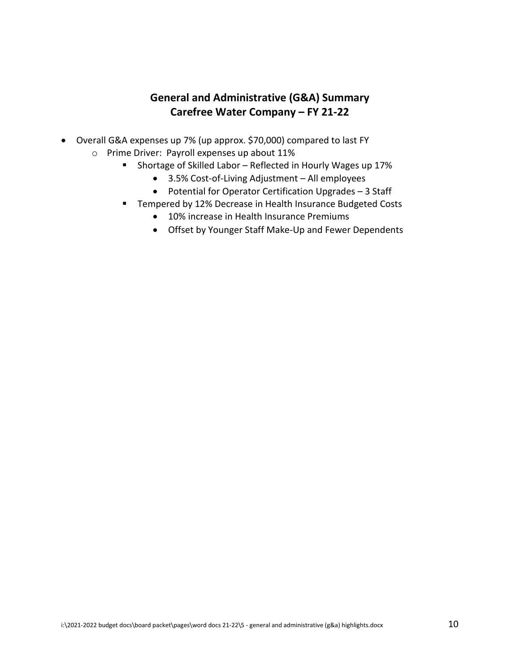#### **General and Administrative (G&A) Summary Carefree Water Company – FY 21-22**

- Overall G&A expenses up 7% (up approx. \$70,000) compared to last FY o Prime Driver: Payroll expenses up about 11%
	- **Shortage of Skilled Labor Reflected in Hourly Wages up 17%** 
		- 3.5% Cost-of-Living Adjustment All employees
		- Potential for Operator Certification Upgrades 3 Staff
		- **Tempered by 12% Decrease in Health Insurance Budgeted Costs** 
			- 10% increase in Health Insurance Premiums
			- Offset by Younger Staff Make-Up and Fewer Dependents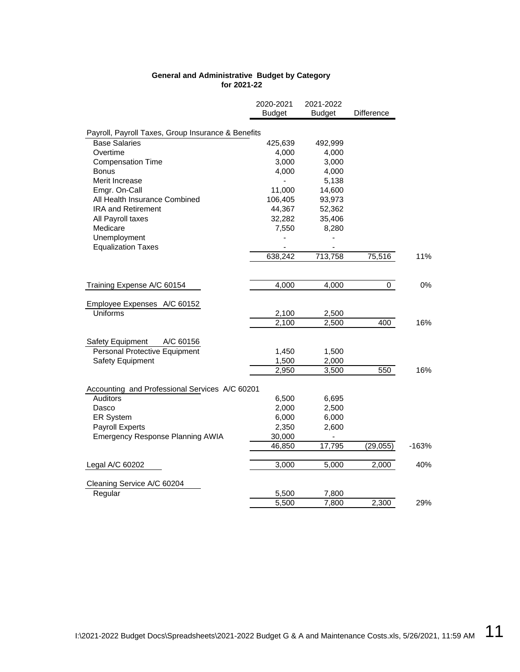#### **General and Administrative Budget by Category for 2021-22**

|                                                    | 2020-2021<br>Budget | 2021-2022<br><b>Budget</b>   | Difference |         |
|----------------------------------------------------|---------------------|------------------------------|------------|---------|
|                                                    |                     |                              |            |         |
| Payroll, Payroll Taxes, Group Insurance & Benefits |                     |                              |            |         |
| <b>Base Salaries</b>                               | 425,639             | 492,999                      |            |         |
| Overtime                                           | 4,000               | 4,000                        |            |         |
| <b>Compensation Time</b>                           | 3,000               | 3,000                        |            |         |
| Bonus                                              | 4,000               | 4,000                        |            |         |
| Merit Increase                                     |                     | 5,138                        |            |         |
| Emgr. On-Call                                      | 11,000              | 14,600                       |            |         |
| All Health Insurance Combined                      | 106,405             | 93,973                       |            |         |
| <b>IRA and Retirement</b>                          | 44,367              | 52,362                       |            |         |
| All Payroll taxes                                  | 32,282              | 35,406                       |            |         |
| Medicare                                           | 7,550               | 8,280                        |            |         |
| Unemployment                                       |                     |                              |            |         |
| <b>Equalization Taxes</b>                          |                     |                              |            |         |
|                                                    | 638,242             | 713,758                      | 75,516     | 11%     |
|                                                    |                     |                              |            |         |
| Training Expense A/C 60154                         | 4,000               | 4,000                        | 0          | 0%      |
| Employee Expenses A/C 60152                        |                     |                              |            |         |
| <b>Uniforms</b>                                    | 2,100               | 2,500                        |            |         |
|                                                    | 2,100               | 2,500                        | 400        | 16%     |
|                                                    |                     |                              |            |         |
| Safety Equipment<br>A/C 60156                      |                     |                              |            |         |
| Personal Protective Equipment                      | 1,450               | 1,500                        |            |         |
| <b>Safety Equipment</b>                            | 1,500               | 2,000                        |            |         |
|                                                    | 2,950               | 3,500                        | 550        | 16%     |
|                                                    |                     |                              |            |         |
| Accounting and Professional Services A/C 60201     |                     |                              |            |         |
| <b>Auditors</b>                                    | 6,500               | 6,695                        |            |         |
| Dasco                                              | 2,000               | 2,500                        |            |         |
| <b>ER System</b>                                   | 6,000               | 6,000                        |            |         |
| Payroll Experts                                    | 2,350               | 2,600                        |            |         |
| Emergency Response Planning AWIA                   | 30,000              | $\qquad \qquad \blacksquare$ |            |         |
|                                                    | 46,850              | 17,795                       | (29, 055)  | $-163%$ |
| Legal A/C 60202                                    | 3,000               | 5,000                        | 2,000      | 40%     |
| Cleaning Service A/C 60204                         |                     |                              |            |         |
| Regular                                            | 5,500               | 7,800                        |            |         |
|                                                    | 5,500               | 7,800                        | 2,300      | 29%     |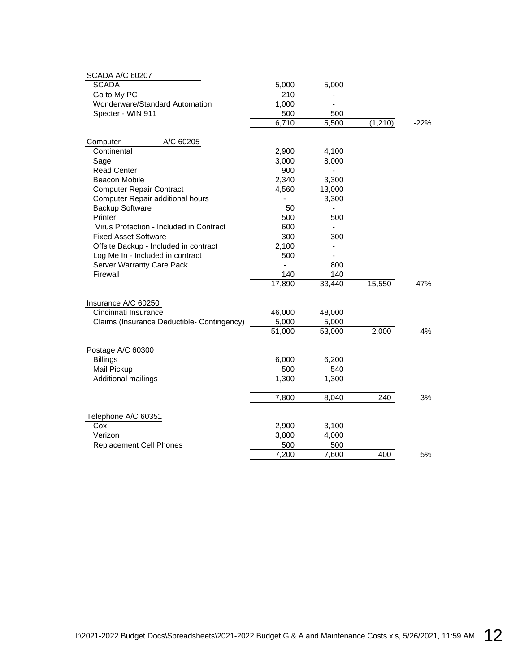| <b>SCADA A/C 60207</b>                     |        |                              |          |        |
|--------------------------------------------|--------|------------------------------|----------|--------|
| <b>SCADA</b>                               | 5,000  | 5,000                        |          |        |
| Go to My PC                                | 210    |                              |          |        |
| Wonderware/Standard Automation             | 1,000  |                              |          |        |
| Specter - WIN 911                          | 500    | 500                          |          |        |
|                                            | 6,710  | 5,500                        | (1, 210) | $-22%$ |
| Computer<br>A/C 60205                      |        |                              |          |        |
| Continental                                | 2,900  | 4,100                        |          |        |
| Sage                                       | 3,000  | 8,000                        |          |        |
| <b>Read Center</b>                         | 900    |                              |          |        |
| <b>Beacon Mobile</b>                       | 2,340  | 3,300                        |          |        |
| <b>Computer Repair Contract</b>            | 4,560  | 13,000                       |          |        |
| Computer Repair additional hours           |        | 3,300                        |          |        |
| <b>Backup Software</b>                     | 50     | $\qquad \qquad \blacksquare$ |          |        |
| Printer                                    | 500    | 500                          |          |        |
| Virus Protection - Included in Contract    | 600    |                              |          |        |
| <b>Fixed Asset Software</b>                | 300    | 300                          |          |        |
| Offsite Backup - Included in contract      | 2,100  |                              |          |        |
| Log Me In - Included in contract           | 500    |                              |          |        |
| Server Warranty Care Pack                  |        | 800                          |          |        |
| Firewall                                   | 140    | 140                          |          |        |
|                                            | 17,890 | 33,440                       | 15,550   | 47%    |
| Insurance A/C 60250                        |        |                              |          |        |
| Cincinnati Insurance                       | 46,000 | 48,000                       |          |        |
| Claims (Insurance Deductible- Contingency) | 5,000  | 5,000                        |          |        |
|                                            | 51,000 | 53,000                       | 2,000    | 4%     |
| Postage A/C 60300                          |        |                              |          |        |
| <b>Billings</b>                            | 6,000  | 6,200                        |          |        |
| Mail Pickup                                | 500    | 540                          |          |        |
| Additional mailings                        | 1,300  | 1,300                        |          |        |
|                                            | 7,800  | 8,040                        | 240      | 3%     |
| Telephone A/C 60351                        |        |                              |          |        |
| Cox                                        | 2,900  | 3,100                        |          |        |
| Verizon                                    | 3,800  | 4,000                        |          |        |
| <b>Replacement Cell Phones</b>             | 500    | 500                          |          |        |
|                                            | 7,200  | 7,600                        | 400      | 5%     |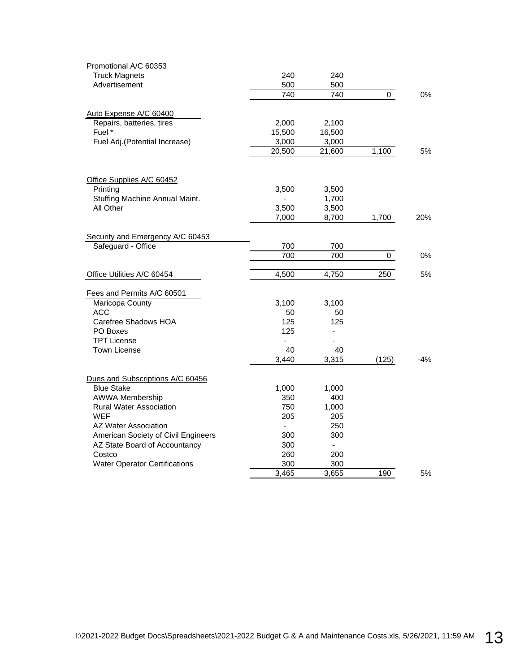| Promotional A/C 60353                |                          |        |       |       |
|--------------------------------------|--------------------------|--------|-------|-------|
| <b>Truck Magnets</b>                 | 240                      | 240    |       |       |
| Advertisement                        | 500                      | 500    |       |       |
|                                      | 740                      | 740    | 0     | 0%    |
| Auto Expense A/C 60400               |                          |        |       |       |
| Repairs, batteries, tires            | 2,000                    | 2,100  |       |       |
| Fuel *                               | 15,500                   | 16,500 |       |       |
| Fuel Adj.(Potential Increase)        | 3,000                    | 3,000  |       |       |
|                                      | 20,500                   | 21,600 | 1,100 | 5%    |
| Office Supplies A/C 60452            |                          |        |       |       |
| Printing                             | 3,500                    | 3,500  |       |       |
| Stuffing Machine Annual Maint.       | ÷,                       | 1,700  |       |       |
| All Other                            | 3,500                    | 3,500  |       |       |
|                                      | 7,000                    | 8,700  | 1,700 | 20%   |
|                                      |                          |        |       |       |
| Security and Emergency A/C 60453     |                          |        |       |       |
| Safeguard - Office                   | 700                      | 700    |       |       |
|                                      | 700                      | 700    | 0     | 0%    |
| Office Utilities A/C 60454           | 4,500                    | 4,750  | 250   | 5%    |
| Fees and Permits A/C 60501           |                          |        |       |       |
| Maricopa County                      | 3,100                    | 3,100  |       |       |
| <b>ACC</b>                           | 50                       | 50     |       |       |
| Carefree Shadows HOA                 | 125                      | 125    |       |       |
| PO Boxes                             | 125                      | ÷      |       |       |
| <b>TPT License</b>                   | ÷,                       |        |       |       |
| <b>Town License</b>                  | 40                       | 40     |       |       |
|                                      | 3,440                    | 3,315  | (125) | $-4%$ |
| Dues and Subscriptions A/C 60456     |                          |        |       |       |
| <b>Blue Stake</b>                    | 1,000                    | 1,000  |       |       |
| AWWA Membership                      | 350                      | 400    |       |       |
| <b>Rural Water Association</b>       | 750                      | 1,000  |       |       |
| <b>WEF</b>                           | 205                      | 205    |       |       |
| AZ Water Association                 | $\overline{\phantom{a}}$ | 250    |       |       |
| American Society of Civil Engineers  | 300                      | 300    |       |       |
| AZ State Board of Accountancy        | 300                      |        |       |       |
| Costco                               | 260                      | 200    |       |       |
| <b>Water Operator Certifications</b> | 300                      | 300    |       |       |
|                                      | 3,465                    | 3,655  | 190   | 5%    |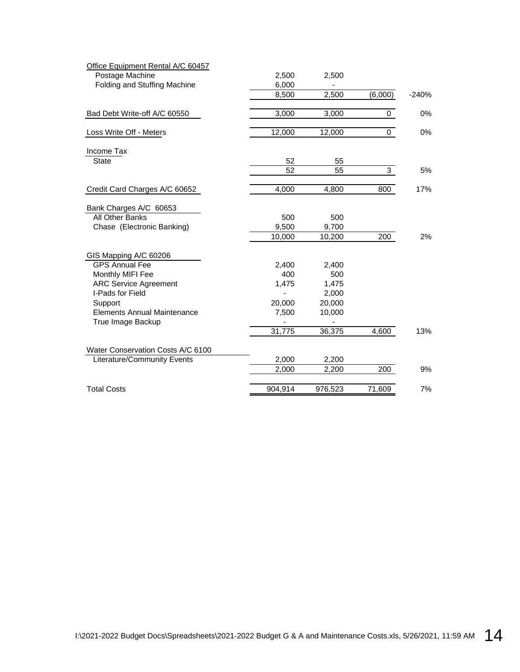| Office Equipment Rental A/C 60457  |         |         |         |         |
|------------------------------------|---------|---------|---------|---------|
| Postage Machine                    | 2,500   | 2,500   |         |         |
| Folding and Stuffing Machine       | 6,000   |         |         |         |
|                                    | 8,500   | 2,500   | (6,000) | $-240%$ |
| Bad Debt Write-off A/C 60550       | 3,000   | 3,000   | 0       | 0%      |
| Loss Write Off - Meters            | 12,000  | 12,000  | 0       | 0%      |
| Income Tax                         |         |         |         |         |
| <b>State</b>                       | 52      | 55      |         |         |
|                                    | 52      | 55      | 3       | 5%      |
| Credit Card Charges A/C 60652      | 4,000   | 4,800   | 800     | 17%     |
| Bank Charges A/C 60653             |         |         |         |         |
| All Other Banks                    | 500     | 500     |         |         |
| Chase (Electronic Banking)         | 9,500   | 9,700   |         |         |
|                                    | 10,000  | 10,200  | 200     | 2%      |
| GIS Mapping A/C 60206              |         |         |         |         |
| <b>GPS Annual Fee</b>              | 2,400   | 2,400   |         |         |
| Monthly MIFI Fee                   | 400     | 500     |         |         |
| <b>ARC Service Agreement</b>       | 1,475   | 1,475   |         |         |
| I-Pads for Field                   |         | 2,000   |         |         |
| Support                            | 20,000  | 20,000  |         |         |
| <b>Elements Annual Maintenance</b> | 7,500   | 10,000  |         |         |
| True Image Backup                  |         |         |         |         |
|                                    | 31,775  | 36,375  | 4,600   | 13%     |
| Water Conservation Costs A/C 6100  |         |         |         |         |
| Literature/Community Events        | 2,000   | 2,200   |         |         |
|                                    | 2,000   | 2,200   | 200     | 9%      |
| <b>Total Costs</b>                 | 904,914 | 976,523 | 71,609  | 7%      |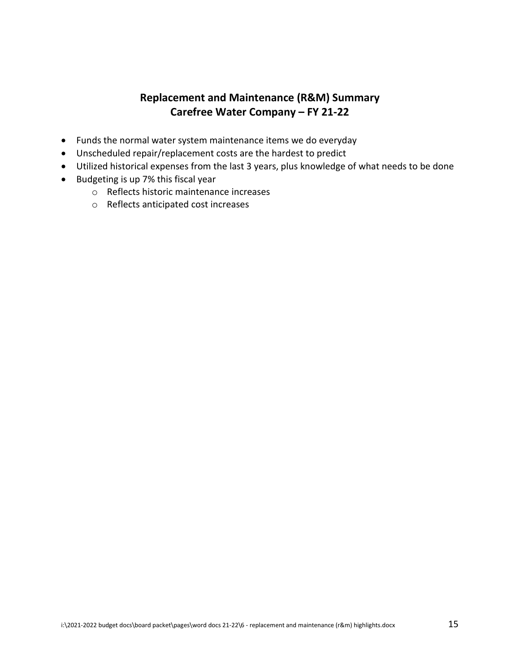#### **Replacement and Maintenance (R&M) Summary Carefree Water Company – FY 21-22**

- Funds the normal water system maintenance items we do everyday
- Unscheduled repair/replacement costs are the hardest to predict
- Utilized historical expenses from the last 3 years, plus knowledge of what needs to be done
- Budgeting is up 7% this fiscal year
	- o Reflects historic maintenance increases
	- o Reflects anticipated cost increases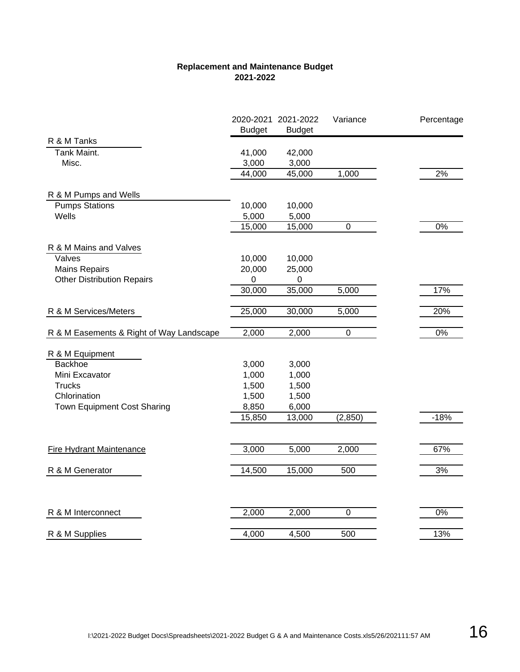#### **Replacement and Maintenance Budget 2021-2022**

|                                          | <b>Budget</b> | 2020-2021 2021-2022<br><b>Budget</b> | Variance       | Percentage |
|------------------------------------------|---------------|--------------------------------------|----------------|------------|
| R & M Tanks                              |               |                                      |                |            |
| Tank Maint.                              | 41,000        | 42,000                               |                |            |
| Misc.                                    | 3,000         | 3,000                                |                |            |
|                                          | 44,000        | 45,000                               | 1,000          | 2%         |
| R & M Pumps and Wells                    |               |                                      |                |            |
| <b>Pumps Stations</b>                    | 10,000        | 10,000                               |                |            |
| Wells                                    | 5,000         | 5,000                                |                |            |
|                                          | 15,000        | 15,000                               | $\pmb{0}$      | $0\%$      |
| R & M Mains and Valves                   |               |                                      |                |            |
| Valves                                   | 10,000        | 10,000                               |                |            |
| <b>Mains Repairs</b>                     | 20,000        | 25,000                               |                |            |
| <b>Other Distribution Repairs</b>        | 0             | $\mathbf 0$                          |                |            |
|                                          | 30,000        | 35,000                               | 5,000          | 17%        |
| R & M Services/Meters                    | 25,000        | 30,000                               | 5,000          | 20%        |
| R & M Easements & Right of Way Landscape | 2,000         | 2,000                                | $\mathbf 0$    | $0\%$      |
|                                          |               |                                      |                |            |
| R & M Equipment                          |               |                                      |                |            |
| Backhoe                                  | 3,000         | 3,000                                |                |            |
| Mini Excavator                           | 1,000         | 1,000                                |                |            |
| <b>Trucks</b>                            | 1,500         | 1,500                                |                |            |
| Chlorination                             | 1,500         | 1,500                                |                |            |
| Town Equipment Cost Sharing              | 8,850         | 6,000                                |                |            |
|                                          | 15,850        | 13,000                               | (2, 850)       | $-18%$     |
| <b>Fire Hydrant Maintenance</b>          | 3,000         | 5,000                                | 2,000          | 67%        |
|                                          |               |                                      |                |            |
| R & M Generator                          | 14,500        | 15,000                               | 500            | 3%         |
|                                          |               |                                      |                |            |
| R & M Interconnect                       | 2,000         | 2,000                                | $\overline{0}$ | $0\%$      |
| R & M Supplies                           | 4,000         | 4,500                                | 500            | 13%        |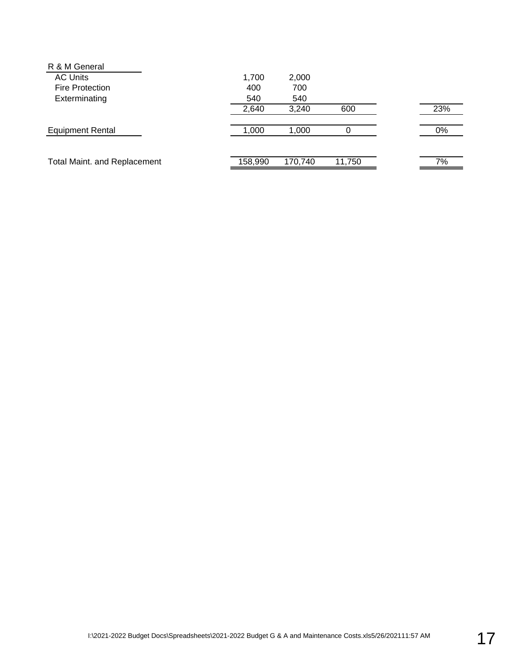| 1,700   | 2,000   |        |     |
|---------|---------|--------|-----|
| 400     | 700     |        |     |
| 540     | 540     |        |     |
| 2,640   | 3,240   | 600    | 23% |
| 1,000   | 1,000   |        | 0%  |
| 158,990 | 170,740 | 11,750 | 7%  |
|         |         |        |     |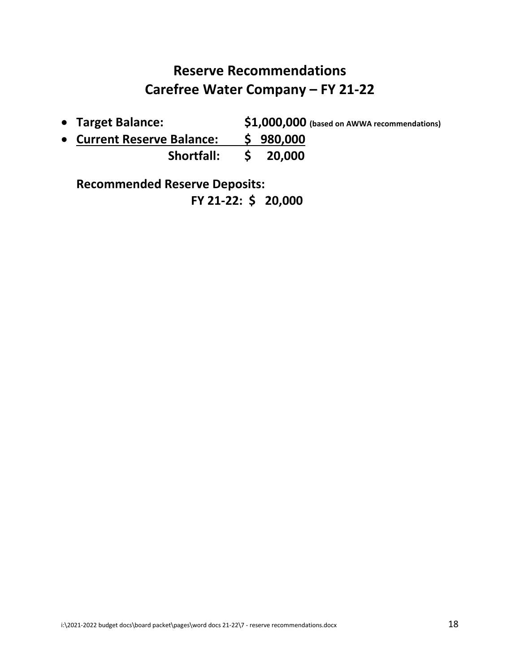### **Reserve Recommendations Carefree Water Company – FY 21-22**

• **Target Balance: \$1,000,000 (based on AWWA recommendations)**

• **Current Reserve Balance: \$ 980,000 Shortfall: \$ 20,000**

**Recommended Reserve Deposits: FY 21-22: \$ 20,000**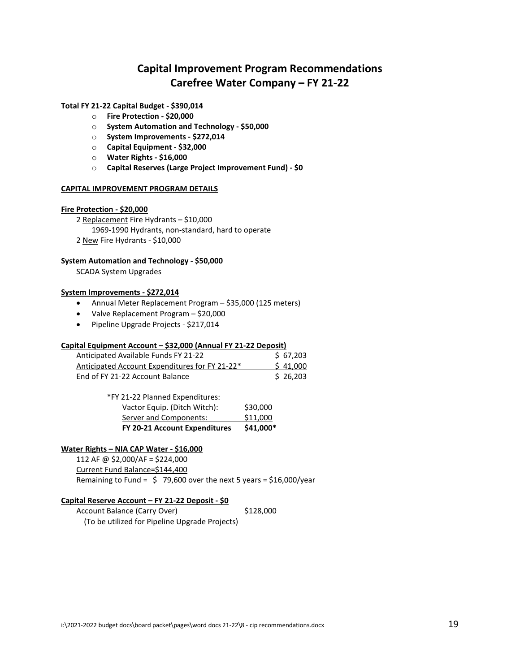#### **Capital Improvement Program Recommendations Carefree Water Company – FY 21-22**

#### **Total FY 21-22 Capital Budget - \$390,014**

- o **Fire Protection - \$20,000**
- o **System Automation and Technology - \$50,000**
- o **System Improvements - \$272,014**
- o **Capital Equipment - \$32,000**
- o **Water Rights - \$16,000**
- o **Capital Reserves (Large Project Improvement Fund) - \$0**

#### **CAPITAL IMPROVEMENT PROGRAM DETAILS**

#### **Fire Protection - \$20,000**

2 Replacement Fire Hydrants – \$10,000 1969-1990 Hydrants, non-standard, hard to operate

2 New Fire Hydrants - \$10,000

#### **System Automation and Technology - \$50,000**

SCADA System Upgrades

#### **System Improvements - \$272,014**

- Annual Meter Replacement Program \$35,000 (125 meters)
- Valve Replacement Program \$20,000
- Pipeline Upgrade Projects \$217,014

#### **Capital Equipment Account – \$32,000 (Annual FY 21-22 Deposit)**

| Anticipated Available Funds FY 21-22           | \$67.203 |
|------------------------------------------------|----------|
| Anticipated Account Expenditures for FY 21-22* | \$41,000 |
| End of FY 21-22 Account Balance                | \$26.203 |

| FY 20-21 Account Expenditures   | \$41,000* |
|---------------------------------|-----------|
| Server and Components:          | \$11,000  |
| Vactor Equip. (Ditch Witch):    | \$30,000  |
| *FY 21-22 Planned Expenditures: |           |

#### **Water Rights – NIA CAP Water - \$16,000**

112 AF @ \$2,000/AF = \$224,000 Current Fund Balance=\$144,400 Remaining to Fund =  $\sin 79,600$  over the next 5 years = \$16,000/year

#### **Capital Reserve Account – FY 21-22 Deposit - \$0**

Account Balance (Carry Over) \$128,000 (To be utilized for Pipeline Upgrade Projects)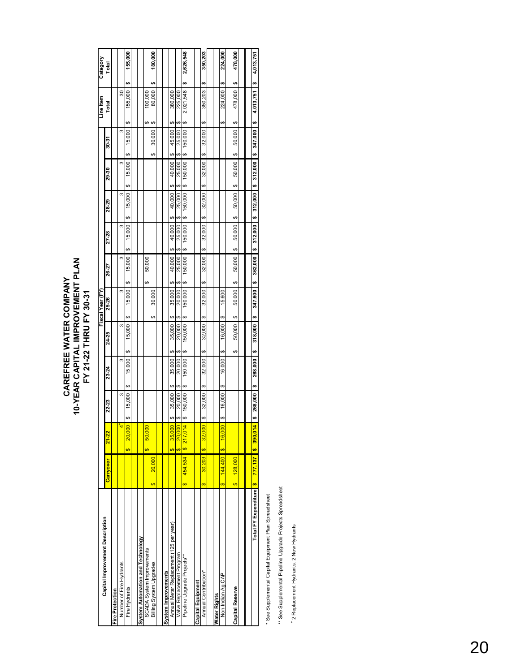# **CAREFREE WATER COMPANY<br>10-YEAR CAPITAL IMPROVEMENT PLAN**<br>FY 21-22 THRU FY 30-31 **10-YEAR CAPITAL IMPROVEMENT PLAN CAREFREE WATER COMPANY FY 21-22 THRU FY 30-31**

| Capital Improvement Description        |                      |                    |               |               |                          | Fiscal Year (FY)         |                    |              |                        |               |                        | Line Item              | Category         |
|----------------------------------------|----------------------|--------------------|---------------|---------------|--------------------------|--------------------------|--------------------|--------------|------------------------|---------------|------------------------|------------------------|------------------|
|                                        | Carryover            | $21 - 22$          | 22-23         | 23-24         | 24-25                    | 25-26                    | 26-27              | 27-28        | 28-29                  | 29-30         | 30-31                  | Total                  | Total            |
| Fire Protection                        |                      |                    |               |               |                          |                          |                    |              |                        |               |                        |                        |                  |
| Number of Fire Hydrants                |                      |                    | m             | ¢.            | ¢.                       | 3                        | S                  | S            | 3                      | ¢.            | 3                      | 30                     |                  |
| Fire Hydrants                          |                      | 20,00<br>$\bullet$ | 15,000<br>ക   | 15,000<br>ŧθ  | 15,000<br>မာ             | 15,000<br>ക              | 15,000<br>မာ       | 15,000<br>ŧθ | 15,000                 | 15,000<br>မာ  | 15,000<br>မာ           | 155,000<br>٥Đ          | 155,000<br>မာ    |
|                                        |                      |                    |               |               |                          |                          |                    |              |                        |               |                        |                        |                  |
| System Automation and Technology       |                      |                    |               |               |                          |                          |                    |              |                        |               |                        |                        |                  |
| SCADA System Improvements              |                      | 50,00<br>မာ        |               |               |                          |                          | 50,000<br>မာ       |              |                        |               |                        | 100.000<br>↮           |                  |
| Billing System Upgrades                | 20,000<br>⊕          |                    |               |               |                          | 30,000<br>မာ             |                    |              |                        |               | 30,000<br>မာ           | 80,000<br>G            | 180,000<br>th    |
|                                        |                      |                    |               |               |                          |                          |                    |              |                        |               |                        |                        |                  |
| System Improvements                    |                      |                    |               |               |                          |                          |                    |              |                        |               |                        |                        |                  |
| Annual Meter Replacement (125 per year |                      | 35,00<br>↮         | 35,000<br>↮   | 35,000<br>↔   | 35,000<br>↔              | 35,000<br>ക              | 40,000<br>G,       | 40,000       | 40,000                 | 40,000<br>မာ  | 45,000<br>မာ           | 380,000<br>↔           |                  |
| Valve Replacement Program              |                      | 20,00<br>$\bullet$ | 20,00C<br>↮   | 20,000<br>ŧθ  | 20,000<br>↮              | 20,000<br>ക              | 25,000             | 25,000       | 25,000                 | 25,000<br>G,  | 25,000<br>မာ           | 225,000<br>↔           |                  |
| Pipeline Upgrade Projects**            | 454,534<br>Ø         | \$217,014          | 50,000<br>မာ  | 50,000<br>မာ  | 50,000<br>မာ             | 50,000<br>မာ             | 50,000<br>œ        | 150,000<br>œ | 150,000<br>မာ          | 50,000<br>မာ  | 150,000<br>မာ          | 2,021,548<br>↮         | 2,626,548<br>s,  |
|                                        |                      |                    |               |               |                          |                          |                    |              |                        |               |                        |                        |                  |
| Capital Equipment                      |                      |                    |               |               |                          |                          |                    |              |                        |               |                        |                        |                  |
| Annual Contribution*                   | 30,203<br>$\bullet$  | 32,00<br>$\bullet$ | 32,000<br>θĐ  | 32,000<br>↔   | 32,000<br>မာ             | 32,000<br>↔              | 32,000<br>G        | 32,000<br>e  | 32,000<br>G            | 32,000<br>မာ  | 32,000<br>↔            | 350,203<br>မာ          | 350,203<br>th    |
|                                        |                      |                    |               |               |                          |                          |                    |              |                        |               |                        |                        |                  |
| Water Rights                           |                      |                    |               |               |                          |                          |                    |              |                        |               |                        |                        |                  |
| Non-Indian Ag CAP                      | 144,400<br>$\bullet$ | 16,00<br>$\bullet$ | 16,000<br>မာ  | 16.000<br>မာ  | 16,000<br>မာ             | 15,600<br>မာ             |                    |              |                        |               |                        | 224,000<br>↔           | 224,000<br>th    |
|                                        |                      |                    |               |               |                          |                          |                    |              |                        |               |                        |                        |                  |
| Capital Reserve                        | 128,000<br>မာ        |                    |               |               | 50,000<br>မာ             | 50.000<br>မာ             | 50.000<br>G,       | 50.000<br>œ  | 50,000<br>œ            | 50,000<br>မာ  | 50.000<br>မာ           | 478,000<br>œ           | 478,000<br>t.    |
|                                        |                      |                    |               |               |                          |                          |                    |              |                        |               |                        |                        |                  |
|                                        |                      |                    |               |               |                          |                          |                    |              |                        |               |                        |                        |                  |
| Total FY Expenditure <b>\$ 777,137</b> |                      | <b>18</b> 390,01   | 268,000<br>u, | 268,000<br>\$ | 318,000<br>$\frac{6}{1}$ | 347,600<br>$\frac{6}{1}$ | $362,000$ \$<br>e, |              | $312,000$ \$ $312,000$ | $\frac{6}{1}$ | $312,000$ \$ $347,000$ | 4,013,751<br><b>69</b> | 4,013,751<br>th) |
|                                        |                      |                    |               |               |                          |                          |                    |              |                        |               |                        |                        |                  |

\* See Supplemental Capital Equipment Plan Spreadsheet \* See Supplemental Capital Equipment Plan Spreadsheet

\*\* See Supplemental Pipeline Upgrade Projects Spreadsheet \*\* See Supplemental Pipeline Upgrade Projects Spreadsheet

+ 2 Replacement Hydrants, 2 New Hydrants 2 Replacement Hydrants, 2 New Hydrants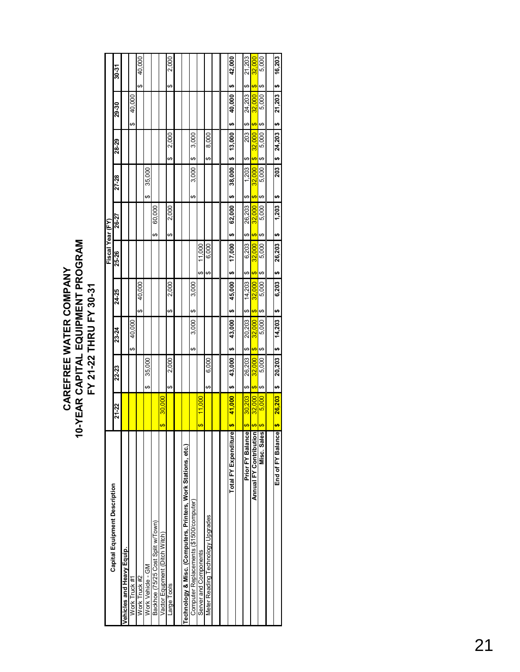| Capital Equipment Description                                 |                                   |              |    |        |              |    | Fiscal Year (FY) |              |    |        |              |       |              |       |        |
|---------------------------------------------------------------|-----------------------------------|--------------|----|--------|--------------|----|------------------|--------------|----|--------|--------------|-------|--------------|-------|--------|
|                                                               | 21-22                             | 22-23        |    | 23-24  | 24-25        |    | 25-26            | 26-27        |    | 27-28  | 28-29        | 29-30 |              | 30-31 |        |
| Vehicles and Heavy Equip.                                     |                                   |              |    |        |              |    |                  |              |    |        |              |       |              |       |        |
| Work Truck #1                                                 |                                   |              | ↔  | 40,000 |              |    |                  |              |    |        |              | ↔     | 40,000       |       |        |
| Work Truck #2                                                 |                                   |              |    |        | 40,000<br>မာ |    |                  |              |    |        |              |       | ↮            |       | 40,000 |
| Work Vehicle - GM                                             |                                   | 35,000<br>ക  |    |        |              |    |                  |              | ഗ  | 35,000 |              |       |              |       |        |
| Backhoe (75/25 Cost Split w/Town)                             |                                   |              |    |        |              |    |                  | 60,000<br>ഗ  |    |        |              |       |              |       |        |
| Vactor Equpment (Ditch Witch)                                 | 30,000<br>$\overline{\mathbf{e}}$ |              |    |        |              |    |                  |              |    |        |              |       |              |       |        |
| Large Tools                                                   |                                   | 2,000<br>↔   |    |        | 2,000<br>↮   |    |                  | 2,000<br>ക   |    |        | 2,000<br>ക   |       | မာ           |       | 2,000  |
|                                                               |                                   |              |    |        |              |    |                  |              |    |        |              |       |              |       |        |
| Technology & Misc. (Computers, Printers, Work Stations, etc.) |                                   |              |    |        |              |    |                  |              |    |        |              |       |              |       |        |
| Computer Replacements (\$1500/computer)                       |                                   |              | ↔  | 3,000  | 3,000<br>↔   |    |                  |              | ↔  | 3,000  | 3,000<br>ഗ   |       |              |       |        |
| Server and Components                                         | 11,000<br>↮                       |              |    |        |              | ↮  | 11,000           |              |    |        |              |       |              |       |        |
| Meter Reading Technology Upgrades                             |                                   | 6,000<br>↮   |    |        |              | ↮  | 6.000            |              |    |        | 8,000<br>ഗ   |       |              |       |        |
|                                                               |                                   |              |    |        |              |    |                  |              |    |        |              |       |              |       |        |
|                                                               |                                   |              |    |        |              |    |                  |              |    |        |              |       |              |       |        |
| Total FY Expenditure                                          | 41,000<br><del>ഗ</del>            | 43,000<br>မာ | မာ | 43,000 | 45,000<br>မာ | မာ | 17,000           | 62,000<br>မာ | မာ | 38,000 | 13,000<br>မာ | မာ    | မာ<br>40,000 |       | 42,000 |
|                                                               |                                   |              |    |        |              |    |                  |              |    |        |              |       |              |       |        |
| Prior FY Balance                                              | 30,203<br>$\overline{\mathbf{G}}$ | 26,203<br>ഗ  | ഗ  | 20,203 | 14,203<br>ഗ  | ഗ  | 6,203            | 26,203<br>ഗ  | ഗ  | 1,203  | 203<br>ഗ     | ഗ     | ഗ<br>24,203  |       | 21,203 |
| Annual FY Contribution                                        | 32.000<br>$\overline{\Theta}$     | 32.000<br>↮  | ↮  | 32.000 | 32,000<br>↮  | ↮  | 32,000           | 32,000<br>₩  | ↮  | 32,000 | 32.000<br>⇔  | ↮     | ↮<br>32,000  |       | 32,000 |
| Misc. Sales                                                   | 5,000<br>$\overline{\mathbf{e}}$  | 5,000<br>↔   | ↔  | 5,000  | 5,000<br>↔   | ↔  | 5,000            | 5,000<br>↔   | ↔  | 5,000  | 5,000<br>↔   | ↔     | ↔<br>5,000   |       | 5,000  |
|                                                               |                                   |              |    |        |              |    |                  |              |    |        |              |       |              |       |        |
| End of FY Balance                                             | 26,203<br><del>U</del>            | 20,203<br>H  | \$ | 14,203 | 6,203<br>မာ  | s, | 26,203           | 1,203<br>မာ  | ↮  | 203    | 24,203<br>မှ | H     | မာ<br>21,203 |       | 16,203 |
|                                                               |                                   |              |    |        |              |    |                  |              |    |        |              |       |              |       |        |